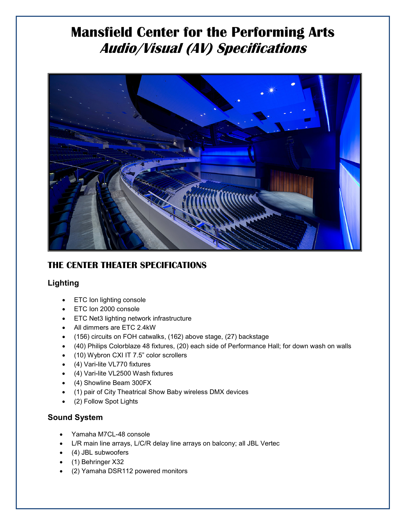# **Mansfield Center for the Performing Arts Audio/Visual (AV) Specifications**



### **THE CENTER THEATER SPECIFICATIONS**

#### **Lighting**

- ETC Ion lighting console
- ETC Ion 2000 console
- ETC Net3 lighting network infrastructure
- All dimmers are ETC 2.4kW
- (156) circuits on FOH catwalks, (162) above stage, (27) backstage
- (40) Philips Colorblaze 48 fixtures, (20) each side of Performance Hall; for down wash on walls
- (10) Wybron CXI IT 7.5" color scrollers
- (4) Vari-lite VL770 fixtures
- (4) Vari-lite VL2500 Wash fixtures
- (4) Showline Beam 300FX
- (1) pair of City Theatrical Show Baby wireless DMX devices
- (2) Follow Spot Lights

### **Sound System**

- Yamaha M7CL-48 console
- L/R main line arrays, L/C/R delay line arrays on balcony; all JBL Vertec
- (4) JBL subwoofers
- (1) Behringer X32
- (2) Yamaha DSR112 powered monitors